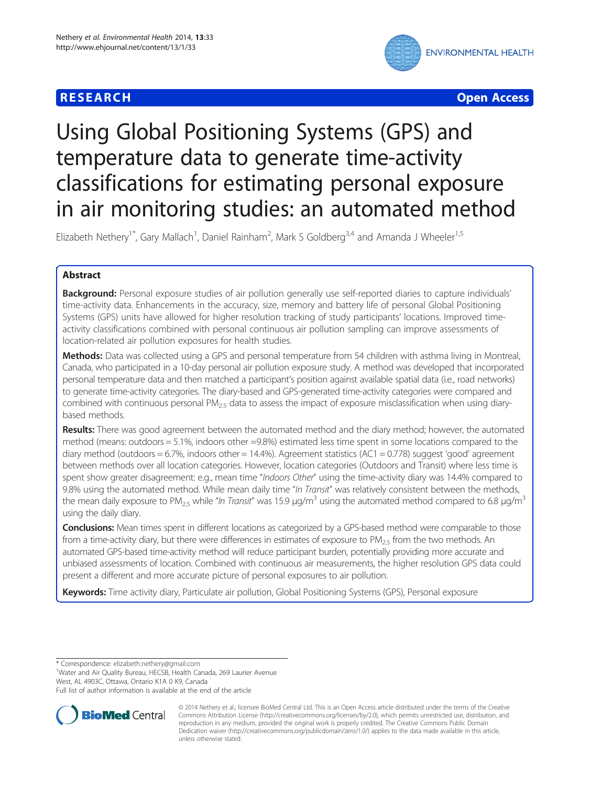# **RESEARCH CHEAR CHEAR CHEAR CHEAR CHEAR CHEAR CHEAR CHEAR CHEAR CHEAR CHEAR CHEAR CHEAR CHEAR CHEAR CHEAR CHEAR**



# Using Global Positioning Systems (GPS) and temperature data to generate time-activity classifications for estimating personal exposure in air monitoring studies: an automated method

Elizabeth Nethery<sup>1\*</sup>, Gary Mallach<sup>1</sup>, Daniel Rainham<sup>2</sup>, Mark S Goldberg<sup>3,4</sup> and Amanda J Wheeler<sup>1,5</sup>

# Abstract

**Background:** Personal exposure studies of air pollution generally use self-reported diaries to capture individuals' time-activity data. Enhancements in the accuracy, size, memory and battery life of personal Global Positioning Systems (GPS) units have allowed for higher resolution tracking of study participants' locations. Improved timeactivity classifications combined with personal continuous air pollution sampling can improve assessments of location-related air pollution exposures for health studies.

Methods: Data was collected using a GPS and personal temperature from 54 children with asthma living in Montreal, Canada, who participated in a 10-day personal air pollution exposure study. A method was developed that incorporated personal temperature data and then matched a participant's position against available spatial data (i.e., road networks) to generate time-activity categories. The diary-based and GPS-generated time-activity categories were compared and combined with continuous personal  $PM_{2.5}$  data to assess the impact of exposure misclassification when using diarybased methods.

Results: There was good agreement between the automated method and the diary method; however, the automated method (means: outdoors = 5.1%, indoors other =9.8%) estimated less time spent in some locations compared to the diary method (outdoors = 6.7%, indoors other = 14.4%). Agreement statistics (AC1 = 0.778) suggest 'good' agreement between methods over all location categories. However, location categories (Outdoors and Transit) where less time is spent show greater disagreement: e.g., mean time "Indoors Other" using the time-activity diary was 14.4% compared to 9.8% using the automated method. While mean daily time "In Transit" was relatively consistent between the methods, the mean daily exposure to PM<sub>2.5</sub> while "In Transit" was 15.9 μg/m<sup>3</sup> using the automated method compared to 6.8 μg/m<sup>3</sup> using the daily diary.

Conclusions: Mean times spent in different locations as categorized by a GPS-based method were comparable to those from a time-activity diary, but there were differences in estimates of exposure to PM $_{2.5}$  from the two methods. An automated GPS-based time-activity method will reduce participant burden, potentially providing more accurate and unbiased assessments of location. Combined with continuous air measurements, the higher resolution GPS data could present a different and more accurate picture of personal exposures to air pollution.

Keywords: Time activity diary, Particulate air pollution, Global Positioning Systems (GPS), Personal exposure

\* Correspondence: [elizabeth.nethery@gmail.com](mailto:elizabeth.nethery@gmail.com) <sup>1</sup>

<sup>1</sup>Water and Air Quality Bureau, HECSB, Health Canada, 269 Laurier Avenue West, AL 4903C, Ottawa, Ontario K1A 0 K9, Canada

Full list of author information is available at the end of the article



© 2014 Nethery et al.; licensee BioMed Central Ltd. This is an Open Access article distributed under the terms of the Creative Commons Attribution License [\(http://creativecommons.org/licenses/by/2.0\)](http://creativecommons.org/licenses/by/2.0), which permits unrestricted use, distribution, and reproduction in any medium, provided the original work is properly credited. The Creative Commons Public Domain Dedication waiver [\(http://creativecommons.org/publicdomain/zero/1.0/](http://creativecommons.org/publicdomain/zero/1.0/)) applies to the data made available in this article, unless otherwise stated.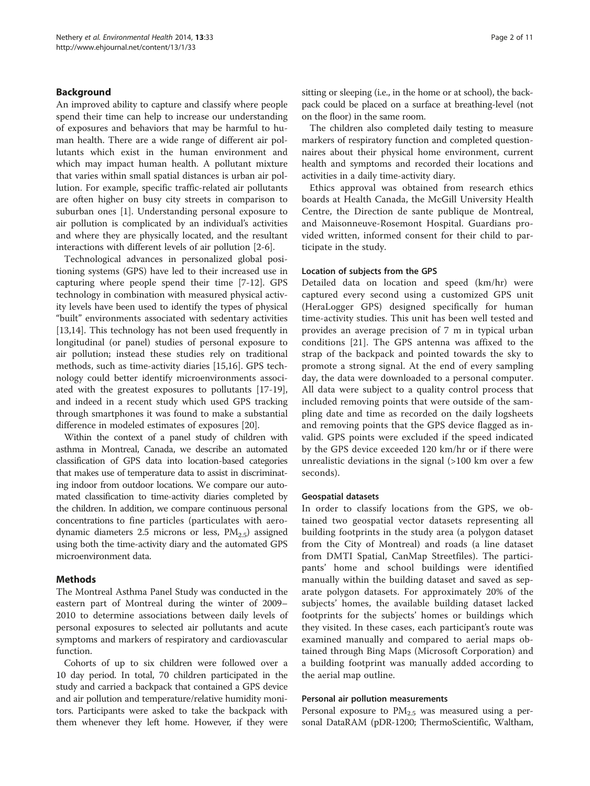#### Background

An improved ability to capture and classify where people spend their time can help to increase our understanding of exposures and behaviors that may be harmful to human health. There are a wide range of different air pollutants which exist in the human environment and which may impact human health. A pollutant mixture that varies within small spatial distances is urban air pollution. For example, specific traffic-related air pollutants are often higher on busy city streets in comparison to suburban ones [[1](#page-9-0)]. Understanding personal exposure to air pollution is complicated by an individual's activities and where they are physically located, and the resultant interactions with different levels of air pollution [[2-6](#page-9-0)].

Technological advances in personalized global positioning systems (GPS) have led to their increased use in capturing where people spend their time [[7-12](#page-9-0)]. GPS technology in combination with measured physical activity levels have been used to identify the types of physical "built" environments associated with sedentary activities [[13,14\]](#page-9-0). This technology has not been used frequently in longitudinal (or panel) studies of personal exposure to air pollution; instead these studies rely on traditional methods, such as time-activity diaries [\[15,16](#page-9-0)]. GPS technology could better identify microenvironments associated with the greatest exposures to pollutants [\[17-19](#page-9-0)], and indeed in a recent study which used GPS tracking through smartphones it was found to make a substantial difference in modeled estimates of exposures [\[20\]](#page-9-0).

Within the context of a panel study of children with asthma in Montreal, Canada, we describe an automated classification of GPS data into location-based categories that makes use of temperature data to assist in discriminating indoor from outdoor locations. We compare our automated classification to time-activity diaries completed by the children. In addition, we compare continuous personal concentrations to fine particles (particulates with aerodynamic diameters 2.5 microns or less,  $PM<sub>2.5</sub>$ ) assigned using both the time-activity diary and the automated GPS microenvironment data.

# Methods

The Montreal Asthma Panel Study was conducted in the eastern part of Montreal during the winter of 2009– 2010 to determine associations between daily levels of personal exposures to selected air pollutants and acute symptoms and markers of respiratory and cardiovascular function.

Cohorts of up to six children were followed over a 10 day period. In total, 70 children participated in the study and carried a backpack that contained a GPS device and air pollution and temperature/relative humidity monitors. Participants were asked to take the backpack with them whenever they left home. However, if they were sitting or sleeping (i.e., in the home or at school), the backpack could be placed on a surface at breathing-level (not on the floor) in the same room.

The children also completed daily testing to measure markers of respiratory function and completed questionnaires about their physical home environment, current health and symptoms and recorded their locations and activities in a daily time-activity diary.

Ethics approval was obtained from research ethics boards at Health Canada, the McGill University Health Centre, the Direction de sante publique de Montreal, and Maisonneuve-Rosemont Hospital. Guardians provided written, informed consent for their child to participate in the study.

#### Location of subjects from the GPS

Detailed data on location and speed (km/hr) were captured every second using a customized GPS unit (HeraLogger GPS) designed specifically for human time-activity studies. This unit has been well tested and provides an average precision of 7 m in typical urban conditions [[21\]](#page-9-0). The GPS antenna was affixed to the strap of the backpack and pointed towards the sky to promote a strong signal. At the end of every sampling day, the data were downloaded to a personal computer. All data were subject to a quality control process that included removing points that were outside of the sampling date and time as recorded on the daily logsheets and removing points that the GPS device flagged as invalid. GPS points were excluded if the speed indicated by the GPS device exceeded 120 km/hr or if there were unrealistic deviations in the signal (>100 km over a few seconds).

#### Geospatial datasets

In order to classify locations from the GPS, we obtained two geospatial vector datasets representing all building footprints in the study area (a polygon dataset from the City of Montreal) and roads (a line dataset from DMTI Spatial, CanMap Streetfiles). The participants' home and school buildings were identified manually within the building dataset and saved as separate polygon datasets. For approximately 20% of the subjects' homes, the available building dataset lacked footprints for the subjects' homes or buildings which they visited. In these cases, each participant's route was examined manually and compared to aerial maps obtained through Bing Maps (Microsoft Corporation) and a building footprint was manually added according to the aerial map outline.

#### Personal air pollution measurements

Personal exposure to  $PM_{2.5}$  was measured using a personal DataRAM (pDR-1200; ThermoScientific, Waltham,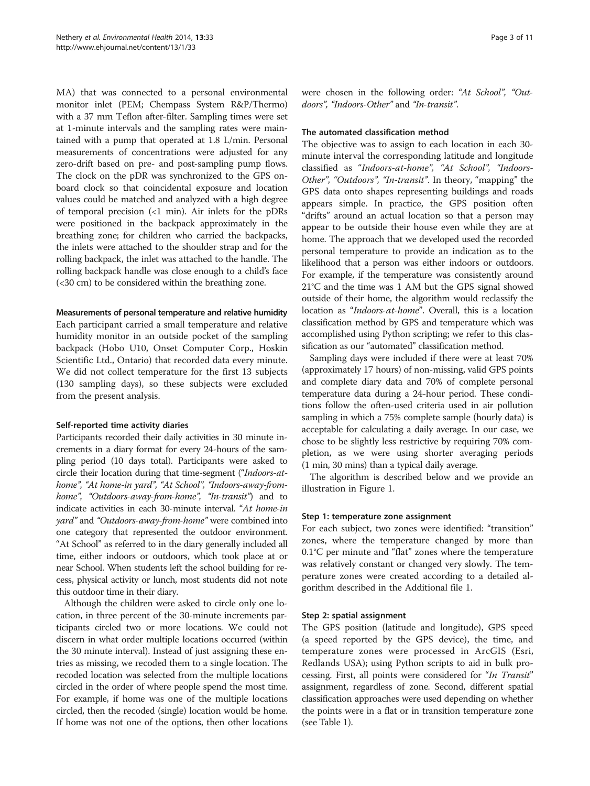MA) that was connected to a personal environmental monitor inlet (PEM; Chempass System R&P/Thermo) with a 37 mm Teflon after-filter. Sampling times were set at 1-minute intervals and the sampling rates were maintained with a pump that operated at 1.8 L/min. Personal measurements of concentrations were adjusted for any zero-drift based on pre- and post-sampling pump flows. The clock on the pDR was synchronized to the GPS onboard clock so that coincidental exposure and location values could be matched and analyzed with a high degree of temporal precision  $\left($ <1 min). Air inlets for the pDRs were positioned in the backpack approximately in the breathing zone; for children who carried the backpacks, the inlets were attached to the shoulder strap and for the rolling backpack, the inlet was attached to the handle. The rolling backpack handle was close enough to a child's face (<30 cm) to be considered within the breathing zone.

#### Measurements of personal temperature and relative humidity

Each participant carried a small temperature and relative humidity monitor in an outside pocket of the sampling backpack (Hobo U10, Onset Computer Corp., Hoskin Scientific Ltd., Ontario) that recorded data every minute. We did not collect temperature for the first 13 subjects (130 sampling days), so these subjects were excluded from the present analysis.

# Self-reported time activity diaries

Participants recorded their daily activities in 30 minute increments in a diary format for every 24-hours of the sampling period (10 days total). Participants were asked to circle their location during that time-segment ("Indoors-athome", "At home-in yard", "At School", "Indoors-away-fromhome", "Outdoors-away-from-home", "In-transit") and to indicate activities in each 30-minute interval. "At home-in yard" and "Outdoors-away-from-home" were combined into one category that represented the outdoor environment. "At School" as referred to in the diary generally included all time, either indoors or outdoors, which took place at or near School. When students left the school building for recess, physical activity or lunch, most students did not note this outdoor time in their diary.

Although the children were asked to circle only one location, in three percent of the 30-minute increments participants circled two or more locations. We could not discern in what order multiple locations occurred (within the 30 minute interval). Instead of just assigning these entries as missing, we recoded them to a single location. The recoded location was selected from the multiple locations circled in the order of where people spend the most time. For example, if home was one of the multiple locations circled, then the recoded (single) location would be home. If home was not one of the options, then other locations were chosen in the following order: "At School", "Outdoors", "Indoors-Other" and "In-transit".

#### The automated classification method

The objective was to assign to each location in each 30 minute interval the corresponding latitude and longitude classified as "Indoors-at-home", "At School", "Indoors-Other", "Outdoors", "In-transit". In theory, "mapping" the GPS data onto shapes representing buildings and roads appears simple. In practice, the GPS position often "drifts" around an actual location so that a person may appear to be outside their house even while they are at home. The approach that we developed used the recorded personal temperature to provide an indication as to the likelihood that a person was either indoors or outdoors. For example, if the temperature was consistently around 21°C and the time was 1 AM but the GPS signal showed outside of their home, the algorithm would reclassify the location as "*Indoors-at-home*". Overall, this is a location classification method by GPS and temperature which was accomplished using Python scripting; we refer to this classification as our "automated" classification method.

Sampling days were included if there were at least 70% (approximately 17 hours) of non-missing, valid GPS points and complete diary data and 70% of complete personal temperature data during a 24-hour period. These conditions follow the often-used criteria used in air pollution sampling in which a 75% complete sample (hourly data) is acceptable for calculating a daily average. In our case, we chose to be slightly less restrictive by requiring 70% completion, as we were using shorter averaging periods (1 min, 30 mins) than a typical daily average.

The algorithm is described below and we provide an illustration in Figure [1](#page-3-0).

# Step 1: temperature zone assignment

For each subject, two zones were identified: "transition" zones, where the temperature changed by more than 0.1°C per minute and "flat" zones where the temperature was relatively constant or changed very slowly. The temperature zones were created according to a detailed algorithm described in the Additional file [1](#page-8-0).

# Step 2: spatial assignment

The GPS position (latitude and longitude), GPS speed (a speed reported by the GPS device), the time, and temperature zones were processed in ArcGIS (Esri, Redlands USA); using Python scripts to aid in bulk processing. First, all points were considered for "In Transit" assignment, regardless of zone. Second, different spatial classification approaches were used depending on whether the points were in a flat or in transition temperature zone (see Table [1](#page-3-0)).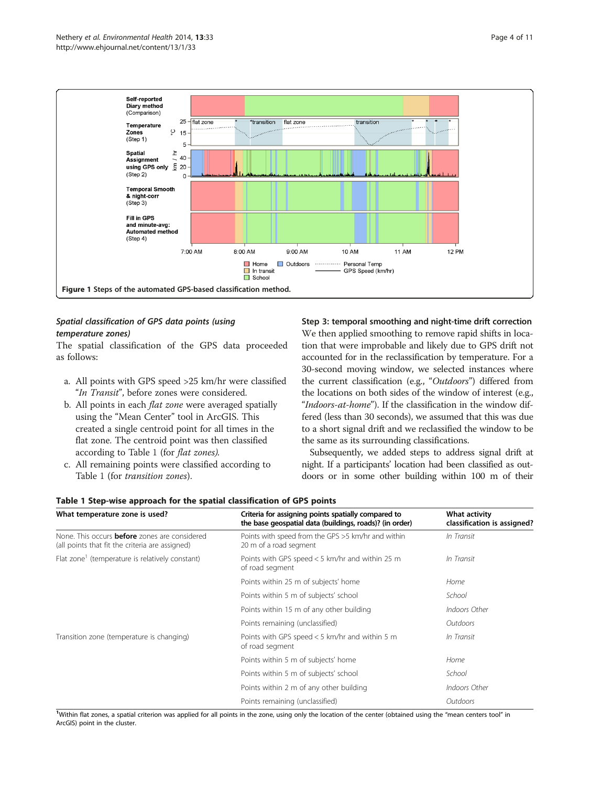<span id="page-3-0"></span>

# Spatial classification of GPS data points (using temperature zones)

The spatial classification of the GPS data proceeded as follows:

- a. All points with GPS speed >25 km/hr were classified "In Transit", before zones were considered.
- b. All points in each flat zone were averaged spatially using the "Mean Center" tool in ArcGIS. This created a single centroid point for all times in the flat zone. The centroid point was then classified according to Table 1 (for flat zones).
- c. All remaining points were classified according to Table 1 (for transition zones).

Step 3: temporal smoothing and night-time drift correction We then applied smoothing to remove rapid shifts in location that were improbable and likely due to GPS drift not accounted for in the reclassification by temperature. For a 30-second moving window, we selected instances where the current classification (e.g., "Outdoors") differed from the locations on both sides of the window of interest (e.g., "Indoors-at-home"). If the classification in the window differed (less than 30 seconds), we assumed that this was due to a short signal drift and we reclassified the window to be the same as its surrounding classifications.

Subsequently, we added steps to address signal drift at night. If a participants' location had been classified as outdoors or in some other building within 100 m of their

| What temperature zone is used?                                                                          | Criteria for assigning points spatially compared to<br>the base geospatial data (buildings, roads)? (in order) | What activity<br>classification is assigned? |  |  |  |  |  |
|---------------------------------------------------------------------------------------------------------|----------------------------------------------------------------------------------------------------------------|----------------------------------------------|--|--|--|--|--|
| None. This occurs <b>before</b> zones are considered<br>(all points that fit the criteria are assigned) | Points with speed from the GPS >5 km/hr and within<br>20 m of a road segment                                   | In Transit                                   |  |  |  |  |  |
| Flat zone <sup>1</sup> (temperature is relatively constant)                                             | Points with GPS speed $<$ 5 km/hr and within 25 m<br>of road segment                                           | In Transit                                   |  |  |  |  |  |
|                                                                                                         | Points within 25 m of subjects' home                                                                           | Home                                         |  |  |  |  |  |
|                                                                                                         | Points within 5 m of subjects' school                                                                          | School                                       |  |  |  |  |  |
|                                                                                                         | Points within 15 m of any other building                                                                       | Indoors Other                                |  |  |  |  |  |
|                                                                                                         | Points remaining (unclassified)                                                                                | Outdoors                                     |  |  |  |  |  |
| Transition zone (temperature is changing)                                                               | Points with GPS speed $<$ 5 km/hr and within 5 m<br>of road segment                                            | In Transit                                   |  |  |  |  |  |
|                                                                                                         | Points within 5 m of subjects' home                                                                            | Home                                         |  |  |  |  |  |
|                                                                                                         | Points within 5 m of subjects' school                                                                          | School                                       |  |  |  |  |  |
|                                                                                                         | Points within 2 m of any other building                                                                        | Indoors Other                                |  |  |  |  |  |
|                                                                                                         | Points remaining (unclassified)                                                                                | Outdoors                                     |  |  |  |  |  |

Table 1 Step-wise approach for the spatial classification of GPS points

<sup>1</sup>Within flat zones, a spatial criterion was applied for all points in the zone, using only the location of the center (obtained using the "mean centers tool" in ArcGIS) point in the cluster.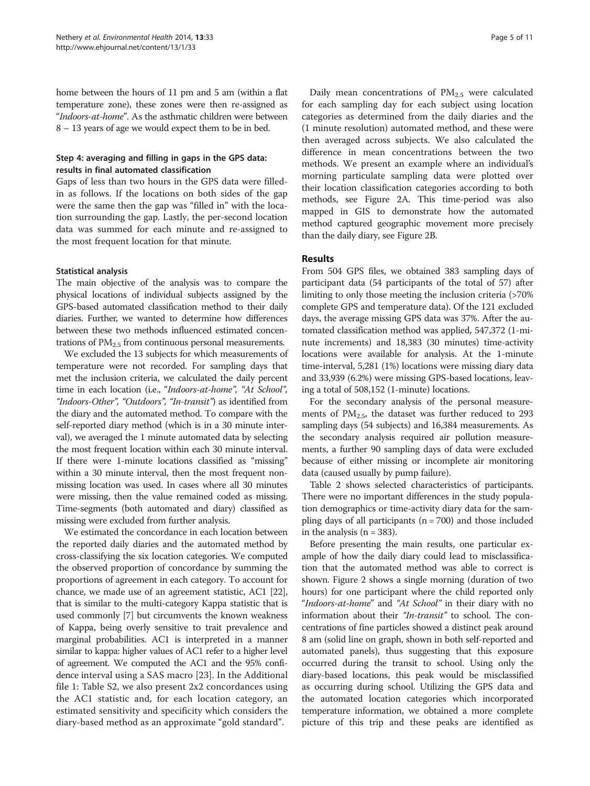home between the hours of 11 pm and 5 am (within a flat temperature zone), these zones were then re-assigned as "Indoors-at-home". As the asthmatic children were between 8 – 13 years of age we would expect them to be in bed.

# Step 4: averaging and filling in gaps in the GPS data: results in final automated classification

Gaps of less than two hours in the GPS data were filledin as follows. If the locations on both sides of the gap were the same then the gap was "filled in" with the location surrounding the gap. Lastly, the per-second location data was summed for each minute and re-assigned to the most frequent location for that minute.

#### Statistical analysis

The main objective of the analysis was to compare the physical locations of individual subjects assigned by the GPS-based automated classification method to their daily diaries. Further, we wanted to determine how differences between these two methods influenced estimated concentrations of  $PM_{2.5}$  from continuous personal measurements.

We excluded the 13 subjects for which measurements of temperature were not recorded. For sampling days that met the inclusion criteria, we calculated the daily percent time in each location (i.e., "Indoors-at-home", "At School", "Indoors-Other", "Outdoors", "In-transit") as identified from the diary and the automated method. To compare with the self-reported diary method (which is in a 30 minute interval), we averaged the 1 minute automated data by selecting the most frequent location within each 30 minute interval. If there were 1-minute locations classified as "missing" within a 30 minute interval, then the most frequent nonmissing location was used. In cases where all 30 minutes were missing, then the value remained coded as missing. Time-segments (both automated and diary) classified as missing were excluded from further analysis.

We estimated the concordance in each location between the reported daily diaries and the automated method by cross-classifying the six location categories. We computed the observed proportion of concordance by summing the proportions of agreement in each category. To account for chance, we made use of an agreement statistic, AC1 [[22](#page-9-0)], that is similar to the multi-category Kappa statistic that is used commonly [\[7](#page-9-0)] but circumvents the known weakness of Kappa, being overly sensitive to trait prevalence and marginal probabilities. AC1 is interpreted in a manner similar to kappa: higher values of AC1 refer to a higher level of agreement. We computed the AC1 and the 95% confidence interval using a SAS macro [[23\]](#page-9-0). In the Additional file [1](#page-8-0): Table S2, we also present 2x2 concordances using the AC1 statistic and, for each location category, an estimated sensitivity and specificity which considers the diary-based method as an approximate "gold standard".

Daily mean concentrations of PM<sub>2.5</sub> were calculated for each sampling day for each subject using location categories as determined from the daily diaries and the (1 minute resolution) automated method, and these were then averaged across subjects. We also calculated the difference in mean concentrations between the two methods. We present an example where an individual's morning particulate sampling data were plotted over their location classification categories according to both methods, see Figure [2A](#page-5-0). This time-period was also mapped in GIS to demonstrate how the automated method captured geographic movement more precisely than the daily diary, see Figure [2B](#page-5-0).

# Results

From 504 GPS files, we obtained 383 sampling days of participant data (54 participants of the total of 57) after limiting to only those meeting the inclusion criteria (>70%) complete GPS and temperature data). Of the 121 excluded days, the average missing GPS data was 37%. After the automated classification method was applied, 547,372 (1-minute increments) and 18,383 (30 minutes) time-activity locations were available for analysis. At the 1-minute time-interval, 5,281 (1%) locations were missing diary data and 33,939 (6.2%) were missing GPS-based locations, leaving a total of 508,152 (1-minute) locations.

For the secondary analysis of the personal measurements of  $PM_{2.5}$ , the dataset was further reduced to 293 sampling days (54 subjects) and 16,384 measurements. As the secondary analysis required air pollution measurements, a further 90 sampling days of data were excluded because of either missing or incomplete air monitoring data (caused usually by pump failure).

Table [2](#page-6-0) shows selected characteristics of participants. There were no important differences in the study population demographics or time-activity diary data for the sampling days of all participants  $(n = 700)$  and those included in the analysis  $(n = 383)$ .

Before presenting the main results, one particular example of how the daily diary could lead to misclassification that the automated method was able to correct is shown. Figure [2](#page-5-0) shows a single morning (duration of two hours) for one participant where the child reported only "Indoors-at-home" and "At School" in their diary with no information about their "In-transit" to school. The concentrations of fine particles showed a distinct peak around 8 am (solid line on graph, shown in both self-reported and automated panels), thus suggesting that this exposure occurred during the transit to school. Using only the diary-based locations, this peak would be misclassified as occurring during school. Utilizing the GPS data and the automated location categories which incorporated temperature information, we obtained a more complete picture of this trip and these peaks are identified as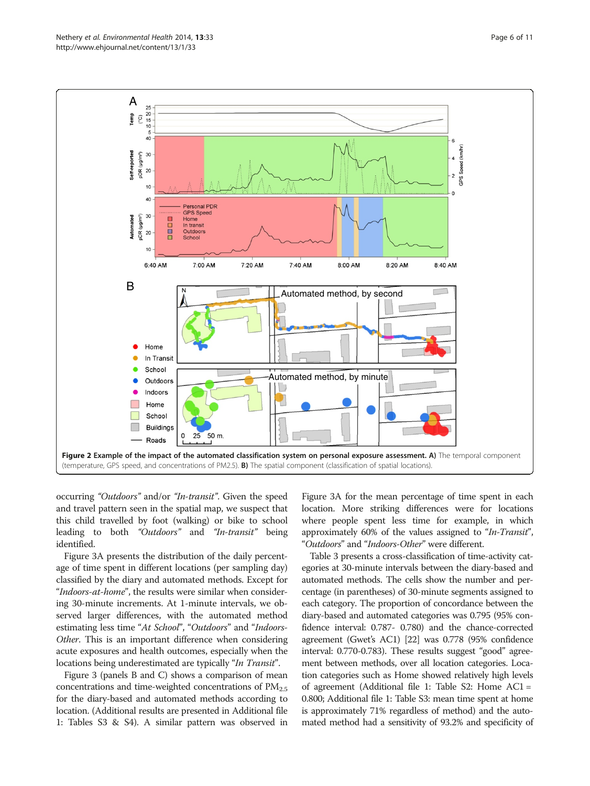<span id="page-5-0"></span>

occurring "Outdoors" and/or "In-transit". Given the speed and travel pattern seen in the spatial map, we suspect that this child travelled by foot (walking) or bike to school leading to both "Outdoors" and "In-transit" being identified.

Figure [3A](#page-7-0) presents the distribution of the daily percentage of time spent in different locations (per sampling day) classified by the diary and automated methods. Except for "Indoors-at-home", the results were similar when considering 30-minute increments. At 1-minute intervals, we observed larger differences, with the automated method estimating less time "At School", "Outdoors" and "Indoors-Other. This is an important difference when considering acute exposures and health outcomes, especially when the locations being underestimated are typically "In Transit".

Figure [3](#page-7-0) (panels B and C) shows a comparison of mean concentrations and time-weighted concentrations of  $PM_{2.5}$ for the diary-based and automated methods according to location. (Additional results are presented in Additional file [1](#page-8-0): Tables S3 & S4). A similar pattern was observed in

Figure [3](#page-7-0)A for the mean percentage of time spent in each location. More striking differences were for locations where people spent less time for example, in which approximately 60% of the values assigned to "In-Transit", "Outdoors" and "Indoors-Other" were different.

Table [3](#page-7-0) presents a cross-classification of time-activity categories at 30-minute intervals between the diary-based and automated methods. The cells show the number and percentage (in parentheses) of 30-minute segments assigned to each category. The proportion of concordance between the diary-based and automated categories was 0.795 (95% confidence interval: 0.787- 0.780) and the chance-corrected agreement (Gwet's AC1) [\[22\]](#page-9-0) was 0.778 (95% confidence interval: 0.770-0.783). These results suggest "good" agreement between methods, over all location categories. Location categories such as Home showed relatively high levels of agreement (Additional file [1](#page-8-0): Table S2: Home AC1 = 0.800; Additional file [1:](#page-8-0) Table S3: mean time spent at home is approximately 71% regardless of method) and the automated method had a sensitivity of 93.2% and specificity of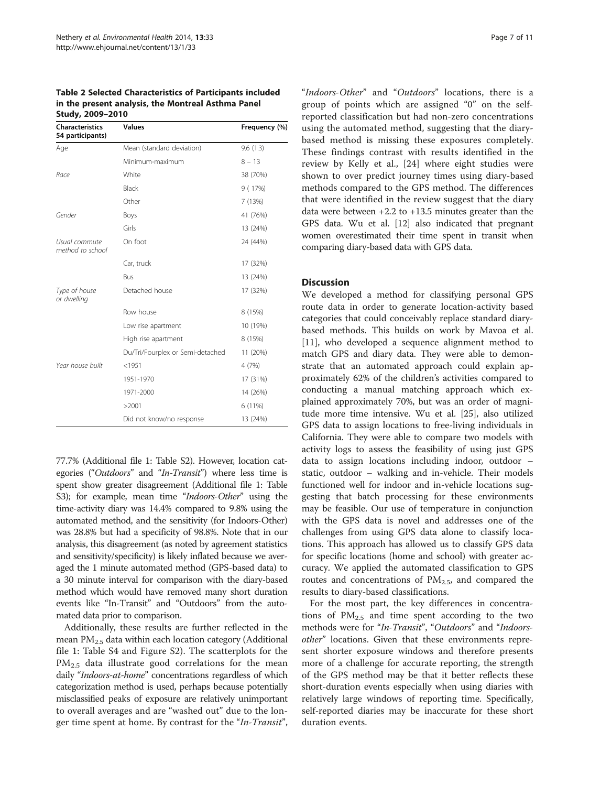<span id="page-6-0"></span>Table 2 Selected Characteristics of Participants included in the present analysis, the Montreal Asthma Panel Study, 2009–2010

| <b>Characteristics</b><br>54 participants) | <b>Values</b>                    | Frequency (%) |  |  |
|--------------------------------------------|----------------------------------|---------------|--|--|
| Age                                        | Mean (standard deviation)        | 9.6(1.3)      |  |  |
|                                            | Minimum-maximum                  | $8 - 13$      |  |  |
| Race                                       | White                            | 38 (70%)      |  |  |
|                                            | Black                            | 9 (17%)       |  |  |
|                                            | Other                            | 7 (13%)       |  |  |
| Gender                                     | Boys                             | 41 (76%)      |  |  |
|                                            | Girls                            | 13 (24%)      |  |  |
| Usual commute<br>method to school          | On foot                          | 24 (44%)      |  |  |
|                                            | Car, truck                       | 17 (32%)      |  |  |
|                                            | Bus                              | 13 (24%)      |  |  |
| Type of house<br>or dwelling               | Detached house                   | 17 (32%)      |  |  |
|                                            | Row house                        | 8 (15%)       |  |  |
|                                            | Low rise apartment               | 10 (19%)      |  |  |
|                                            | High rise apartment              | 8 (15%)       |  |  |
|                                            | Du/Tri/Fourplex or Semi-detached | 11 (20%)      |  |  |
| Year house built                           | < 1951                           | 4 (7%)        |  |  |
|                                            | 1951-1970                        | 17 (31%)      |  |  |
|                                            | 1971-2000                        | 14 (26%)      |  |  |
|                                            | >2001                            | 6 (11%)       |  |  |
|                                            | Did not know/no response         | 13 (24%)      |  |  |

77.7% (Additional file [1](#page-8-0): Table S2). However, location categories ("Outdoors" and "In-Transit") where less time is spent show greater disagreement (Additional file [1](#page-8-0): Table S3); for example, mean time "Indoors-Other" using the time-activity diary was 14.4% compared to 9.8% using the automated method, and the sensitivity (for Indoors-Other) was 28.8% but had a specificity of 98.8%. Note that in our analysis, this disagreement (as noted by agreement statistics and sensitivity/specificity) is likely inflated because we averaged the 1 minute automated method (GPS-based data) to a 30 minute interval for comparison with the diary-based method which would have removed many short duration events like "In-Transit" and "Outdoors" from the automated data prior to comparison.

Additionally, these results are further reflected in the mean PM2.5 data within each location category (Additional file [1:](#page-8-0) Table S4 and Figure S2). The scatterplots for the PM<sub>2.5</sub> data illustrate good correlations for the mean daily "Indoors-at-home" concentrations regardless of which categorization method is used, perhaps because potentially misclassified peaks of exposure are relatively unimportant to overall averages and are "washed out" due to the longer time spent at home. By contrast for the "In-Transit",

"Indoors-Other" and "Outdoors" locations, there is a group of points which are assigned "0" on the selfreported classification but had non-zero concentrations using the automated method, suggesting that the diarybased method is missing these exposures completely. These findings contrast with results identified in the review by Kelly et al., [[24\]](#page-9-0) where eight studies were shown to over predict journey times using diary-based methods compared to the GPS method. The differences that were identified in the review suggest that the diary data were between  $+2.2$  to  $+13.5$  minutes greater than the GPS data. Wu et al. [[12](#page-9-0)] also indicated that pregnant women overestimated their time spent in transit when comparing diary-based data with GPS data.

#### **Discussion**

We developed a method for classifying personal GPS route data in order to generate location-activity based categories that could conceivably replace standard diarybased methods. This builds on work by Mavoa et al. [[11\]](#page-9-0), who developed a sequence alignment method to match GPS and diary data. They were able to demonstrate that an automated approach could explain approximately 62% of the children's activities compared to conducting a manual matching approach which explained approximately 70%, but was an order of magnitude more time intensive. Wu et al. [\[25](#page-9-0)], also utilized GPS data to assign locations to free-living individuals in California. They were able to compare two models with activity logs to assess the feasibility of using just GPS data to assign locations including indoor, outdoor – static, outdoor – walking and in-vehicle. Their models functioned well for indoor and in-vehicle locations suggesting that batch processing for these environments may be feasible. Our use of temperature in conjunction with the GPS data is novel and addresses one of the challenges from using GPS data alone to classify locations. This approach has allowed us to classify GPS data for specific locations (home and school) with greater accuracy. We applied the automated classification to GPS routes and concentrations of  $PM<sub>2.5</sub>$ , and compared the results to diary-based classifications.

For the most part, the key differences in concentrations of  $PM_{2.5}$  and time spent according to the two methods were for "In-Transit", "Outdoors" and "Indoorsother" locations. Given that these environments represent shorter exposure windows and therefore presents more of a challenge for accurate reporting, the strength of the GPS method may be that it better reflects these short-duration events especially when using diaries with relatively large windows of reporting time. Specifically, self-reported diaries may be inaccurate for these short duration events.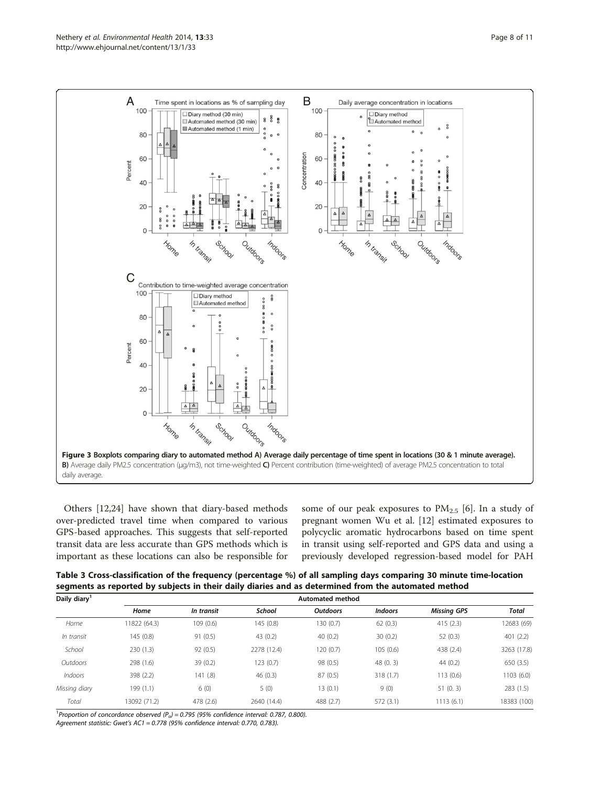<span id="page-7-0"></span>

Others [\[12,24](#page-9-0)] have shown that diary-based methods over-predicted travel time when compared to various GPS-based approaches. This suggests that self-reported transit data are less accurate than GPS methods which is important as these locations can also be responsible for some of our peak exposures to  $PM_{2.5}$  [[6\]](#page-9-0). In a study of pregnant women Wu et al. [[12\]](#page-9-0) estimated exposures to polycyclic aromatic hydrocarbons based on time spent in transit using self-reported and GPS data and using a previously developed regression-based model for PAH

Table 3 Cross-classification of the frequency (percentage %) of all sampling days comparing 30 minute time-location segments as reported by subjects in their daily diaries and as determined from the automated method

| Daily diary <sup>1</sup> |              |            |             | <b>Automated method</b> |                |                    |             |
|--------------------------|--------------|------------|-------------|-------------------------|----------------|--------------------|-------------|
|                          | Home         | In transit | School      | <b>Outdoors</b>         | <b>Indoors</b> | <b>Missing GPS</b> | Total       |
| Home                     | 11822 (64.3) | 109(0.6)   | 145 (0.8)   | 130 (0.7)               | 62(0.3)        | 415(2.3)           | 12683 (69)  |
| In transit               | 145 (0.8)    | 91(0.5)    | 43(0.2)     | 40(0.2)                 | 30(0.2)        | 52(0.3)            | 401(2.2)    |
| School                   | 230(1.3)     | 92(0.5)    | 2278 (12.4) | 120 (0.7)               | 105(0.6)       | 438 (2.4)          | 3263 (17.8) |
| Outdoors                 | 298 (1.6)    | 39(0.2)    | 123 (0.7)   | 98 (0.5)                | 48(0, 3)       | 44(0.2)            | 650 (3.5)   |
| Indoors                  | 398 (2.2)    | 141(.8)    | 46(0.3)     | 87 (0.5)                | 318(1.7)       | 113 (0.6)          | 1103 (6.0)  |
| Missing diary            | 199 (1.1)    | 6(0)       | 5(0)        | 13(0.1)                 | 9(0)           | 51(0.3)            | 283 (1.5)   |
| Total                    | 13092 (71.2) | 478 (2.6)  | 2640 (14.4) | 488 (2.7)               | 572(3.1)       | 1113(6.1)          | 18383 (100) |

<sup>1</sup> Proportion of concordance observed  $(P_o)$  = 0.795 (95% confidence interval: 0.787, 0.800).

Agreement statistic: Gwet's AC1 = 0.778 (95% confidence interval: 0.770, 0.783).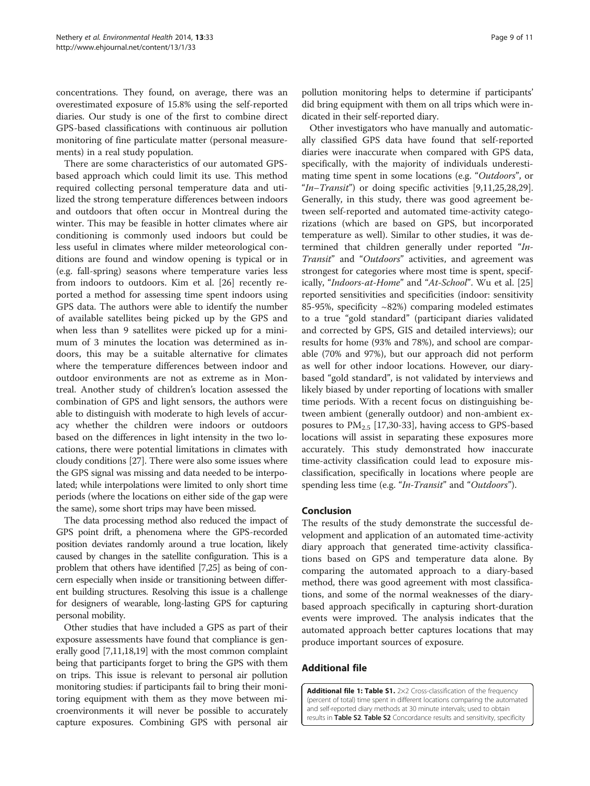<span id="page-8-0"></span>concentrations. They found, on average, there was an overestimated exposure of 15.8% using the self-reported diaries. Our study is one of the first to combine direct GPS-based classifications with continuous air pollution monitoring of fine particulate matter (personal measurements) in a real study population.

There are some characteristics of our automated GPSbased approach which could limit its use. This method required collecting personal temperature data and utilized the strong temperature differences between indoors and outdoors that often occur in Montreal during the winter. This may be feasible in hotter climates where air conditioning is commonly used indoors but could be less useful in climates where milder meteorological conditions are found and window opening is typical or in (e.g. fall-spring) seasons where temperature varies less from indoors to outdoors. Kim et al. [\[26\]](#page-9-0) recently reported a method for assessing time spent indoors using GPS data. The authors were able to identify the number of available satellites being picked up by the GPS and when less than 9 satellites were picked up for a minimum of 3 minutes the location was determined as indoors, this may be a suitable alternative for climates where the temperature differences between indoor and outdoor environments are not as extreme as in Montreal. Another study of children's location assessed the combination of GPS and light sensors, the authors were able to distinguish with moderate to high levels of accuracy whether the children were indoors or outdoors based on the differences in light intensity in the two locations, there were potential limitations in climates with cloudy conditions [\[27\]](#page-9-0). There were also some issues where the GPS signal was missing and data needed to be interpolated; while interpolations were limited to only short time periods (where the locations on either side of the gap were the same), some short trips may have been missed.

The data processing method also reduced the impact of GPS point drift, a phenomena where the GPS-recorded position deviates randomly around a true location, likely caused by changes in the satellite configuration. This is a problem that others have identified [\[7,25](#page-9-0)] as being of concern especially when inside or transitioning between different building structures. Resolving this issue is a challenge for designers of wearable, long-lasting GPS for capturing personal mobility.

Other studies that have included a GPS as part of their exposure assessments have found that compliance is generally good [[7,11,18,19\]](#page-9-0) with the most common complaint being that participants forget to bring the GPS with them on trips. This issue is relevant to personal air pollution monitoring studies: if participants fail to bring their monitoring equipment with them as they move between microenvironments it will never be possible to accurately capture exposures. Combining GPS with personal air

pollution monitoring helps to determine if participants' did bring equipment with them on all trips which were indicated in their self-reported diary.

Other investigators who have manually and automatically classified GPS data have found that self-reported diaries were inaccurate when compared with GPS data, specifically, with the majority of individuals underestimating time spent in some locations (e.g. "Outdoors", or "In–Transit") or doing specific activities  $[9,11,25,28,29]$  $[9,11,25,28,29]$  $[9,11,25,28,29]$  $[9,11,25,28,29]$  $[9,11,25,28,29]$  $[9,11,25,28,29]$ . Generally, in this study, there was good agreement between self-reported and automated time-activity categorizations (which are based on GPS, but incorporated temperature as well). Similar to other studies, it was determined that children generally under reported "In-Transit" and "Outdoors" activities, and agreement was strongest for categories where most time is spent, specif-ically, "Indoors-at-Home" and "At-School". Wu et al. [[25](#page-9-0)] reported sensitivities and specificities (indoor: sensitivity 85-95%, specificity ~82%) comparing modeled estimates to a true "gold standard" (participant diaries validated and corrected by GPS, GIS and detailed interviews); our results for home (93% and 78%), and school are comparable (70% and 97%), but our approach did not perform as well for other indoor locations. However, our diarybased "gold standard", is not validated by interviews and likely biased by under reporting of locations with smaller time periods. With a recent focus on distinguishing between ambient (generally outdoor) and non-ambient exposures to  $PM_{2.5}$  [\[17,30](#page-9-0)-[33\]](#page-10-0), having access to GPS-based locations will assist in separating these exposures more accurately. This study demonstrated how inaccurate time-activity classification could lead to exposure misclassification, specifically in locations where people are spending less time (e.g. "In-Transit" and "Outdoors").

#### Conclusion

The results of the study demonstrate the successful development and application of an automated time-activity diary approach that generated time-activity classifications based on GPS and temperature data alone. By comparing the automated approach to a diary-based method, there was good agreement with most classifications, and some of the normal weaknesses of the diarybased approach specifically in capturing short-duration events were improved. The analysis indicates that the automated approach better captures locations that may produce important sources of exposure.

# Additional file

[Additional file 1: Table S1.](http://www.biomedcentral.com/content/supplementary/1476-069X-13-33-S1.docx) 2×2 Cross-classification of the frequency (percent of total) time spent in different locations comparing the automated and self-reported diary methods at 30 minute intervals; used to obtain results in Table S2. Table S2 Concordance results and sensitivity, specificity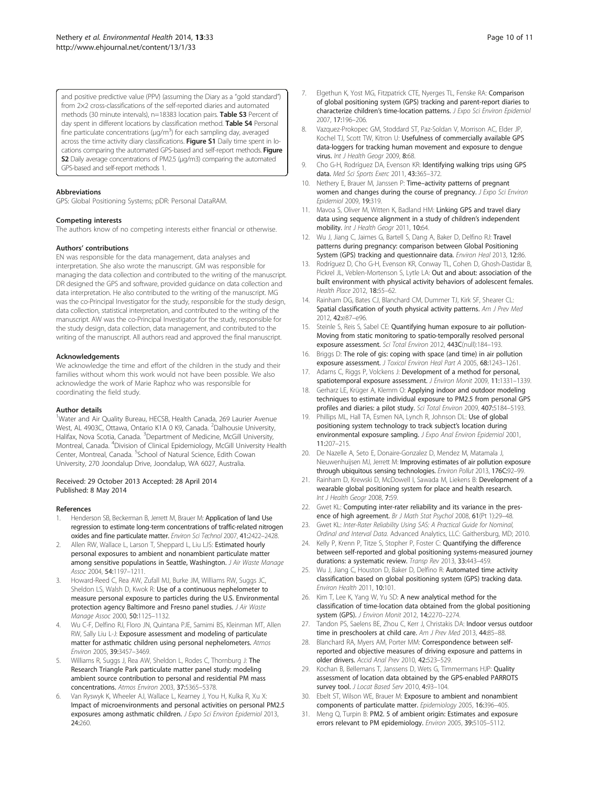<span id="page-9-0"></span>and positive predictive value (PPV) (assuming the Diary as a "gold standard") from 2×2 cross-classifications of the self-reported diaries and automated methods (30 minute intervals), n=18383 location pairs. Table S3 Percent of day spent in different locations by classification method. Table S4 Personal fine particulate concentrations ( $\mu$ g/m<sup>3</sup>) for each sampling day, averaged across the time activity diary classifications. Figure S1 Daily time spent in locations comparing the automated GPS-based and self-report methods. Figure S2 Daily average concentrations of PM2.5 (μg/m3) comparing the automated GPS-based and self-report methods 1.

#### Abbreviations

GPS: Global Positioning Systems; pDR: Personal DataRAM.

#### Competing interests

The authors know of no competing interests either financial or otherwise.

#### Authors' contributions

EN was responsible for the data management, data analyses and interpretation. She also wrote the manuscript. GM was responsible for managing the data collection and contributed to the writing of the manuscript. DR designed the GPS and software, provided guidance on data collection and data interpretation. He also contributed to the writing of the manuscript. MG was the co-Principal Investigator for the study, responsible for the study design, data collection, statistical interpretation, and contributed to the writing of the manuscript. AW was the co-Principal Investigator for the study, responsible for the study design, data collection, data management, and contributed to the writing of the manuscript. All authors read and approved the final manuscript.

#### Acknowledgements

We acknowledge the time and effort of the children in the study and their families without whom this work would not have been possible. We also acknowledge the work of Marie Raphoz who was responsible for coordinating the field study.

#### Author details

<sup>1</sup>Water and Air Quality Bureau, HECSB, Health Canada, 269 Laurier Avenue West, AL 4903C, Ottawa, Ontario K1A 0 K9, Canada. <sup>2</sup>Dalhousie University, Halifax, Nova Scotia, Canada. <sup>3</sup>Department of Medicine, McGill University, Montreal, Canada. <sup>4</sup>Division of Clinical Epidemiology, McGill University Health Center, Montreal, Canada. <sup>5</sup>School of Natural Science, Edith Cowan University, 270 Joondalup Drive, Joondalup, WA 6027, Australia.

#### Received: 29 October 2013 Accepted: 28 April 2014 Published: 8 May 2014

#### References

- Henderson SB, Beckerman B, Jerrett M, Brauer M: Application of land Use regression to estimate long-term concentrations of traffic-related nitrogen oxides and fine particulate matter. Environ Sci Technol 2007, 41:2422–2428.
- 2. Allen RW, Wallace L, Larson T, Sheppard L, Liu LJS: Estimated hourly personal exposures to ambient and nonambient particulate matter among sensitive populations in Seattle, Washington. J Air Waste Manage Assoc 2004, 54:1197–1211.
- 3. Howard-Reed C, Rea AW, Zufall MJ, Burke JM, Williams RW, Suggs JC, Sheldon LS, Walsh D, Kwok R: Use of a continuous nephelometer to measure personal exposure to particles during the U.S. Environmental protection agency Baltimore and Fresno panel studies. J Air Waste Manage Assoc 2000, 50:1125–1132.
- 4. Wu C-F, Delfino RJ, Floro JN, Quintana PJE, Samimi BS, Kleinman MT, Allen RW, Sally Liu L-J: Exposure assessment and modeling of particulate matter for asthmatic children using personal nephelometers. Atmos Environ 2005, 39:3457–3469.
- 5. Williams R, Suggs J, Rea AW, Sheldon L, Rodes C, Thornburg J: The Research Triangle Park particulate matter panel study: modeling ambient source contribution to personal and residential PM mass concentrations. Atmos Environ 2003, 37:5365–5378.
- Van Ryswyk K, Wheeler AJ, Wallace L, Kearney J, You H, Kulka R, Xu X: Impact of microenvironments and personal activities on personal PM2.5 exposures among asthmatic children. J Expo Sci Environ Epidemiol 2013, 24:260.
- 7. Elgethun K, Yost MG, Fitzpatrick CTE, Nyerges TL, Fenske RA: Comparison of global positioning system (GPS) tracking and parent-report diaries to characterize children's time-location patterns. J Expo Sci Environ Epidemiol 2007, 17:196–206.
- 8. Vazquez-Prokopec GM, Stoddard ST, Paz-Soldan V, Morrison AC, Elder JP, Kochel TJ, Scott TW, Kitron U: Usefulness of commercially available GPS data-loggers for tracking human movement and exposure to dengue virus. Int J Health Geogr 2009, 8:68.
- 9. Cho G-H, Rodríguez DA, Evenson KR: Identifying walking trips using GPS data. Med Sci Sports Exerc 2011, 43:365-372.
- 10. Nethery E, Brauer M, Janssen P: Time-activity patterns of pregnant women and changes during the course of pregnancy. J Expo Sci Environ Epidemiol 2009, 19:319.
- 11. Mavoa S, Oliver M, Witten K, Badland HM: Linking GPS and travel diary data using sequence alignment in a study of children's independent mobility. Int J Health Geogr 2011, 10:64.
- 12. Wu J, Jiang C, Jaimes G, Bartell S, Dang A, Baker D, Delfino RJ: Travel patterns during pregnancy: comparison between Global Positioning System (GPS) tracking and questionnaire data. Environ Heal 2013, 12:86.
- 13. Rodríguez D, Cho G-H, Evenson KR, Conway TL, Cohen D, Ghosh-Dastidar B, Pickrel JL, Veblen-Mortenson S, Lytle LA: Out and about: association of the built environment with physical activity behaviors of adolescent females. Health Place 2012, 18:55–62.
- 14. Rainham DG, Bates CJ, Blanchard CM, Dummer TJ, Kirk SF, Shearer CL: Spatial classification of youth physical activity patterns. Am J Prev Med 2012, 42:e87–e96.
- 15. Steinle S, Reis S, Sabel CE: Quantifying human exposure to air pollution-Moving from static monitoring to spatio-temporally resolved personal exposure assessment. Sci Total Environ 2012, 443C(null):184–193.
- 16. Briggs D: The role of gis: coping with space (and time) in air pollution exposure assessment. J Toxicol Environ Heal Part A 2005, 68:1243–1261.
- 17. Adams C, Riggs P, Volckens J: Development of a method for personal, spatiotemporal exposure assessment. J Environ Monit 2009, 11:1331–1339.
- 18. Gerharz LE, Krüger A, Klemm O: Applying indoor and outdoor modeling techniques to estimate individual exposure to PM2.5 from personal GPS profiles and diaries: a pilot study. Sci Total Environ 2009, 407:5184–5193.
- 19. Phillips ML, Hall TA, Esmen NA, Lynch R, Johnson DL: Use of global positioning system technology to track subject's location during environmental exposure sampling. J Expo Anal Environ Epidemiol 2001, 11:207–215.
- 20. De Nazelle A, Seto E, Donaire-Gonzalez D, Mendez M, Matamala J, Nieuwenhuijsen MJ, Jerrett M: Improving estimates of air pollution exposure through ubiquitous sensing technologies. Environ Pollut 2013, 176C:92–99.
- 21. Rainham D, Krewski D, McDowell I, Sawada M, Liekens B: Development of a wearable global positioning system for place and health research. Int J Health Geogr 2008, 7:59.
- 22. Gwet KL: Computing inter-rater reliability and its variance in the presence of high agreement. Br J Math Stat Psychol 2008, 61(Pt 1):29-48.
- 23. Gwet KL: Inter-Rater Reliability Using SAS: A Practical Guide for Nominal, Ordinal and Interval Data. Advanced Analytics, LLC: Gaithersburg, MD; 2010.
- 24. Kelly P, Krenn P, Titze S, Stopher P, Foster C: Quantifying the difference between self-reported and global positioning systems-measured journey durations: a systematic review. Transp Rev 2013, 33:443–459.
- 25. Wu J, Jiang C, Houston D, Baker D, Delfino R: Automated time activity classification based on global positioning system (GPS) tracking data. Environ Health 2011, 10:101.
- 26. Kim T, Lee K, Yang W, Yu SD: A new analytical method for the classification of time-location data obtained from the global positioning system (GPS). J Environ Monit 2012, 14:2270–2274.
- 27. Tandon PS, Saelens BE, Zhou C, Kerr J, Christakis DA: Indoor versus outdoor time in preschoolers at child care. Am J Prev Med 2013, 44:85-88.
- 28. Blanchard RA, Myers AM, Porter MM: Correspondence between selfreported and objective measures of driving exposure and patterns in older drivers. Accid Anal Prev 2010, 42:523–529.
- 29. Kochan B, Bellemans T, Janssens D, Wets G, Timmermans HJP: Quality assessment of location data obtained by the GPS-enabled PARROTS survey tool. J Locat Based Serv 2010, 4:93-104.
- 30. Ebelt ST, Wilson WE, Brauer M: Exposure to ambient and nonambient components of particulate matter. Epidemiology 2005, 16:396–405.
- 31. Meng Q, Turpin B: PM2. 5 of ambient origin: Estimates and exposure errors relevant to PM epidemiology. Environ 2005, 39:5105–5112.